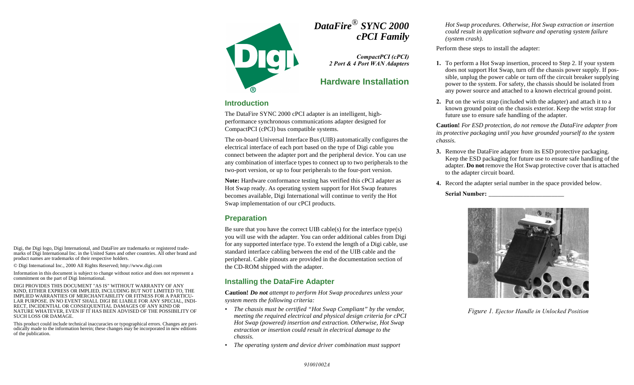

# *DataFire*® *SYNC 2000 cPCI Family*

*CompactPCI (cPCI) 2 Port & 4 Port WAN Adapters*

## **Hardware Installation**

#### **Introduction**

The DataFire SYNC 2000 cPCI adapter is an intelligent, highperformance synchronous communications adapter designed for CompactPCI (cPCI) bus compatible systems.

The on-board Universal Interface Bus (UIB) automatically configures the electrical interface of each port based on the type of Digi cable you connect between the adapter port and the peripheral device. You can use any combination of interface types to connect up to two peripherals to the two-port version, or up to four peripherals to the four-port version.

**Note:** Hardware conformance testing has verified this cPCI adapter as Hot Swap ready. As operating system support for Hot Swap features becomes available, Digi International will continue to verify the Hot Swap implementation of our cPCI products.

## **Preparation**

Be sure that you have the correct UIB cable(s) for the interface type(s) you will use with the adapter. You can order additional cables from Digi for any supported interface type. To extend the length of a Digi cable, use standard interface cabling between the end of the UIB cable and the peripheral. Cable pinouts are provided in the documentation section of the CD-ROM shipped with the adapter.

# **Installing the DataFire Adapter**

**Caution!** *Do not attempt to perform Hot Swap procedures unless your system meets the following criteria:*

- *• The chassis must be certified "Hot Swap Compliant" by the vendor, meeting the required electrical and physical design criteria for cPCI Hot Swap (powered) insertion and extraction. Otherwise, Hot Swap extraction or insertion could result in electrical damage to the chassis.*
- *• The operating system and device driver combination must support*

*Hot Swap procedures. Otherwise, Hot Swap extraction or insertion could result in application software and operating system failure (system crash).*

Perform these steps to install the adapter:

- **1.** To perform a Hot Swap insertion, proceed to Step 2. If your system does not support Hot Swap, turn off the chassis power supply. If possible, unplug the power cable or turn off the circuit breaker supplying power to the system. For safety, the chassis should be isolated from any power source and attached to a known electrical ground point.
- **2.** Put on the wrist strap (included with the adapter) and attach it to a known ground point on the chassis exterior. Keep the wrist strap for future use to ensure safe handling of the adapter.

**Caution!** *For ESD protection, do not remove the DataFire adapter from its protective packaging until you have grounded yourself to the system chassis.*

- **3.** Remove the DataFire adapter from its ESD protective packaging. Keep the ESD packaging for future use to ensure safe handling of the adapter. **Do not** remove the Hot Swap protective cover that is attached to the adapter circuit board.
- **4.** Record the adapter serial number in the space provided below.

Serial Number:



*Figure 1. Ejector Handle in Unlocked Position*

Digi, the Digi logo, Digi International, and DataFire are trademarks or registered trademarks of Digi International Inc. in the United Sates and other countries. All other brand and product names are trademarks of their respective holders.

© Digi International Inc., 2000 All Rights Reserved; http://www.digi.com

Information in this document is subject to change without notice and does not represent a commitment on the part of Digi International.

DIGI PROVIDES THIS DOCUMENT "AS IS" WITHOUT WARRANTY OF ANY KIND, EITHER EXPRESS OR IMPLIED, INCLUDING BUT NOT LIMITED TO, THE IMPLIED WARRANTIES OF MERCHANTABILITY OR FITNESS FOR A PARTICU-LAR PURPOSE. IN NO EVENT SHALL DIGI BE LIABLE FOR ANY SPECIAL, INDI-RECT, INCIDENTIAL OR CONSEQUENTIAL DAMAGES OF ANY KIND OR NATURE WHATEVER, EVEN IF IT HAS BEEN ADVISED OF THE POSSIBILITY OF SUCH LOSS OR DAMAGE.

This product could include technical inaccuracies or typographical errors. Changes are periodically made to the information herein; these changes may be incorporated in new editions of the publication.